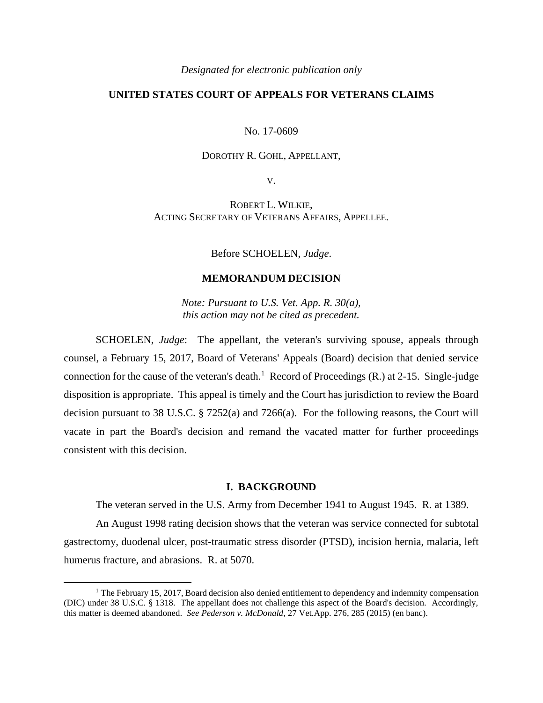#### *Designated for electronic publication only*

# **UNITED STATES COURT OF APPEALS FOR VETERANS CLAIMS**

#### No. 17-0609

## DOROTHY R. GOHL, APPELLANT,

V.

ROBERT L. WILKIE, ACTING SECRETARY OF VETERANS AFFAIRS, APPELLEE.

Before SCHOELEN, *Judge*.

## **MEMORANDUM DECISION**

*Note: Pursuant to U.S. Vet. App. R. 30(a), this action may not be cited as precedent.*

SCHOELEN, *Judge*: The appellant, the veteran's surviving spouse, appeals through counsel, a February 15, 2017, Board of Veterans' Appeals (Board) decision that denied service connection for the cause of the veteran's death.<sup>1</sup> Record of Proceedings (R.) at 2-15. Single-judge disposition is appropriate. This appeal is timely and the Court has jurisdiction to review the Board decision pursuant to 38 U.S.C. § 7252(a) and 7266(a). For the following reasons, the Court will vacate in part the Board's decision and remand the vacated matter for further proceedings consistent with this decision.

### **I. BACKGROUND**

The veteran served in the U.S. Army from December 1941 to August 1945. R. at 1389.

An August 1998 rating decision shows that the veteran was service connected for subtotal gastrectomy, duodenal ulcer, post-traumatic stress disorder (PTSD), incision hernia, malaria, left humerus fracture, and abrasions. R. at 5070.

 $\overline{a}$ 

<sup>&</sup>lt;sup>1</sup> The February 15, 2017, Board decision also denied entitlement to dependency and indemnity compensation (DIC) under 38 U.S.C. § 1318. The appellant does not challenge this aspect of the Board's decision. Accordingly, this matter is deemed abandoned. *See Pederson v. McDonald*, 27 Vet.App. 276, 285 (2015) (en banc).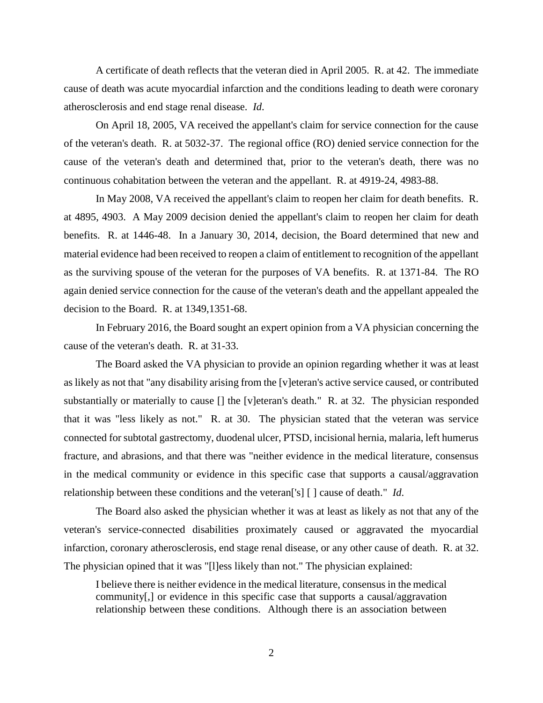A certificate of death reflects that the veteran died in April 2005. R. at 42. The immediate cause of death was acute myocardial infarction and the conditions leading to death were coronary atherosclerosis and end stage renal disease. *Id*.

On April 18, 2005, VA received the appellant's claim for service connection for the cause of the veteran's death. R. at 5032-37. The regional office (RO) denied service connection for the cause of the veteran's death and determined that, prior to the veteran's death, there was no continuous cohabitation between the veteran and the appellant. R. at 4919-24, 4983-88.

In May 2008, VA received the appellant's claim to reopen her claim for death benefits. R. at 4895, 4903. A May 2009 decision denied the appellant's claim to reopen her claim for death benefits. R. at 1446-48. In a January 30, 2014, decision, the Board determined that new and material evidence had been received to reopen a claim of entitlement to recognition of the appellant as the surviving spouse of the veteran for the purposes of VA benefits. R. at 1371-84. The RO again denied service connection for the cause of the veteran's death and the appellant appealed the decision to the Board. R. at 1349,1351-68.

In February 2016, the Board sought an expert opinion from a VA physician concerning the cause of the veteran's death. R. at 31-33.

The Board asked the VA physician to provide an opinion regarding whether it was at least as likely as not that "any disability arising from the [v]eteran's active service caused, or contributed substantially or materially to cause [] the [v]eteran's death." R. at 32. The physician responded that it was "less likely as not." R. at 30. The physician stated that the veteran was service connected for subtotal gastrectomy, duodenal ulcer, PTSD, incisional hernia, malaria, left humerus fracture, and abrasions, and that there was "neither evidence in the medical literature, consensus in the medical community or evidence in this specific case that supports a causal/aggravation relationship between these conditions and the veteran['s] [ ] cause of death." *Id*.

The Board also asked the physician whether it was at least as likely as not that any of the veteran's service-connected disabilities proximately caused or aggravated the myocardial infarction, coronary atherosclerosis, end stage renal disease, or any other cause of death. R. at 32. The physician opined that it was "[l]ess likely than not." The physician explained:

I believe there is neither evidence in the medical literature, consensus in the medical community[,] or evidence in this specific case that supports a causal/aggravation relationship between these conditions. Although there is an association between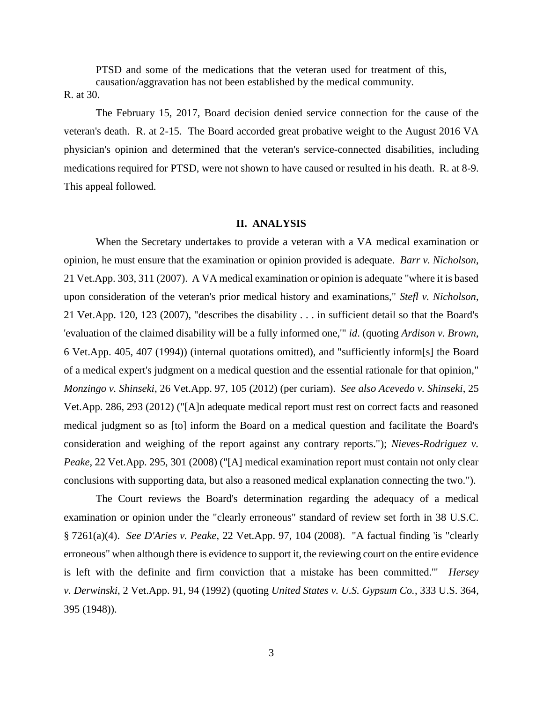PTSD and some of the medications that the veteran used for treatment of this, causation/aggravation has not been established by the medical community.

## R. at 30.

The February 15, 2017, Board decision denied service connection for the cause of the veteran's death. R. at 2-15. The Board accorded great probative weight to the August 2016 VA physician's opinion and determined that the veteran's service-connected disabilities, including medications required for PTSD, were not shown to have caused or resulted in his death. R. at 8-9. This appeal followed.

### **II. ANALYSIS**

When the Secretary undertakes to provide a veteran with a VA medical examination or opinion, he must ensure that the examination or opinion provided is adequate. *Barr v. Nicholson*, 21 Vet.App. 303, 311 (2007). A VA medical examination or opinion is adequate "where it is based upon consideration of the veteran's prior medical history and examinations," *Stefl v. Nicholson*, 21 Vet.App. 120, 123 (2007), "describes the disability . . . in sufficient detail so that the Board's 'evaluation of the claimed disability will be a fully informed one,'" *id*. (quoting *Ardison v. Brown*, 6 Vet.App. 405, 407 (1994)) (internal quotations omitted), and "sufficiently inform[s] the Board of a medical expert's judgment on a medical question and the essential rationale for that opinion," *Monzingo v. Shinseki*, 26 Vet.App. 97, 105 (2012) (per curiam). *See also Acevedo v. Shinseki*, 25 Vet.App. 286, 293 (2012) ("[A]n adequate medical report must rest on correct facts and reasoned medical judgment so as [to] inform the Board on a medical question and facilitate the Board's consideration and weighing of the report against any contrary reports."); *Nieves-Rodriguez v. Peake*, 22 Vet.App. 295, 301 (2008) ("[A] medical examination report must contain not only clear conclusions with supporting data, but also a reasoned medical explanation connecting the two.").

The Court reviews the Board's determination regarding the adequacy of a medical examination or opinion under the "clearly erroneous" standard of review set forth in 38 U.S.C. § 7261(a)(4). *See D'Aries v. Peake*, 22 Vet.App. 97, 104 (2008). "A factual finding 'is "clearly erroneous" when although there is evidence to support it, the reviewing court on the entire evidence is left with the definite and firm conviction that a mistake has been committed.'" *Hersey v. Derwinski*, 2 Vet.App. 91, 94 (1992) (quoting *United States v. U.S. Gypsum Co.*, 333 U.S. 364, 395 (1948)).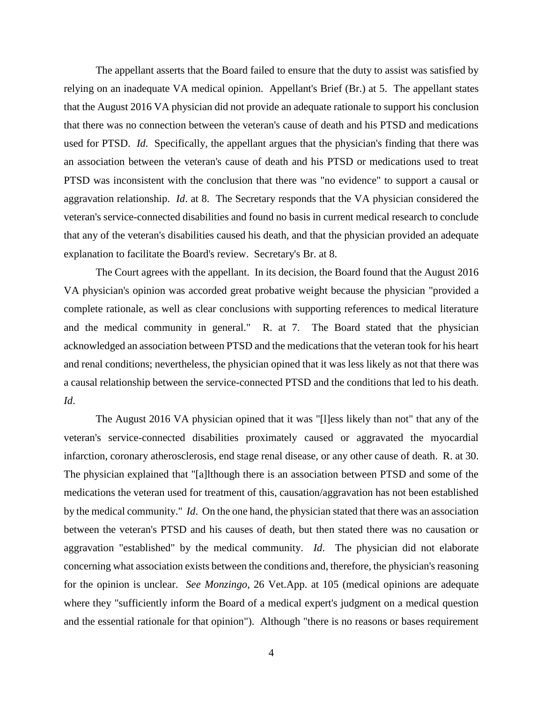The appellant asserts that the Board failed to ensure that the duty to assist was satisfied by relying on an inadequate VA medical opinion. Appellant's Brief (Br.) at 5. The appellant states that the August 2016 VA physician did not provide an adequate rationale to support his conclusion that there was no connection between the veteran's cause of death and his PTSD and medications used for PTSD. *Id*. Specifically, the appellant argues that the physician's finding that there was an association between the veteran's cause of death and his PTSD or medications used to treat PTSD was inconsistent with the conclusion that there was "no evidence" to support a causal or aggravation relationship. *Id*. at 8. The Secretary responds that the VA physician considered the veteran's service-connected disabilities and found no basis in current medical research to conclude that any of the veteran's disabilities caused his death, and that the physician provided an adequate explanation to facilitate the Board's review. Secretary's Br. at 8.

The Court agrees with the appellant. In its decision, the Board found that the August 2016 VA physician's opinion was accorded great probative weight because the physician "provided a complete rationale, as well as clear conclusions with supporting references to medical literature and the medical community in general." R. at 7. The Board stated that the physician acknowledged an association between PTSD and the medications that the veteran took for his heart and renal conditions; nevertheless, the physician opined that it was less likely as not that there was a causal relationship between the service-connected PTSD and the conditions that led to his death. *Id*.

The August 2016 VA physician opined that it was "[l]ess likely than not" that any of the veteran's service-connected disabilities proximately caused or aggravated the myocardial infarction, coronary atherosclerosis, end stage renal disease, or any other cause of death. R. at 30. The physician explained that "[a]lthough there is an association between PTSD and some of the medications the veteran used for treatment of this, causation/aggravation has not been established by the medical community." *Id*. On the one hand, the physician stated that there was an association between the veteran's PTSD and his causes of death, but then stated there was no causation or aggravation "established" by the medical community. *Id*. The physician did not elaborate concerning what association exists between the conditions and, therefore, the physician's reasoning for the opinion is unclear. *See Monzingo*, 26 Vet.App. at 105 (medical opinions are adequate where they "sufficiently inform the Board of a medical expert's judgment on a medical question and the essential rationale for that opinion"). Although "there is no reasons or bases requirement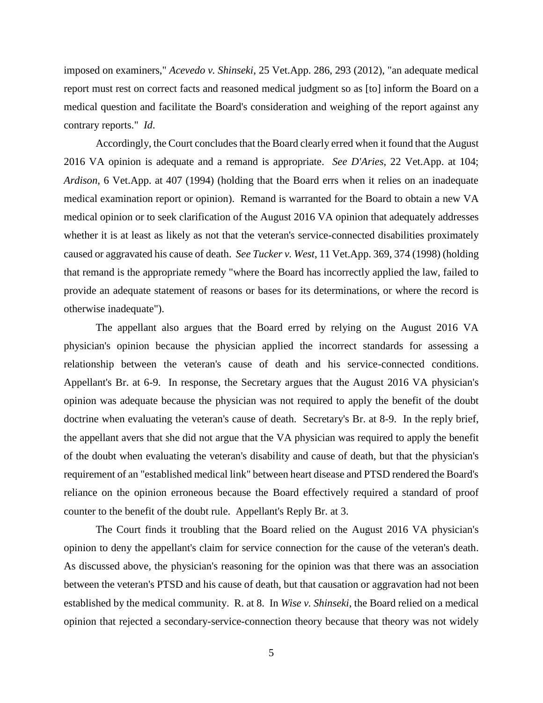imposed on examiners," *Acevedo v. Shinseki*, 25 Vet.App. 286, 293 (2012), "an adequate medical report must rest on correct facts and reasoned medical judgment so as [to] inform the Board on a medical question and facilitate the Board's consideration and weighing of the report against any contrary reports." *Id*.

Accordingly, the Court concludes that the Board clearly erred when it found that the August 2016 VA opinion is adequate and a remand is appropriate. *See D'Aries*, 22 Vet.App. at 104; *Ardison*, 6 Vet.App. at 407 (1994) (holding that the Board errs when it relies on an inadequate medical examination report or opinion). Remand is warranted for the Board to obtain a new VA medical opinion or to seek clarification of the August 2016 VA opinion that adequately addresses whether it is at least as likely as not that the veteran's service-connected disabilities proximately caused or aggravated his cause of death. *See Tucker v. West*, 11 Vet.App. 369, 374 (1998) (holding that remand is the appropriate remedy "where the Board has incorrectly applied the law, failed to provide an adequate statement of reasons or bases for its determinations, or where the record is otherwise inadequate").

The appellant also argues that the Board erred by relying on the August 2016 VA physician's opinion because the physician applied the incorrect standards for assessing a relationship between the veteran's cause of death and his service-connected conditions. Appellant's Br. at 6-9. In response, the Secretary argues that the August 2016 VA physician's opinion was adequate because the physician was not required to apply the benefit of the doubt doctrine when evaluating the veteran's cause of death. Secretary's Br. at 8-9. In the reply brief, the appellant avers that she did not argue that the VA physician was required to apply the benefit of the doubt when evaluating the veteran's disability and cause of death, but that the physician's requirement of an "established medical link" between heart disease and PTSD rendered the Board's reliance on the opinion erroneous because the Board effectively required a standard of proof counter to the benefit of the doubt rule. Appellant's Reply Br. at 3.

The Court finds it troubling that the Board relied on the August 2016 VA physician's opinion to deny the appellant's claim for service connection for the cause of the veteran's death. As discussed above, the physician's reasoning for the opinion was that there was an association between the veteran's PTSD and his cause of death, but that causation or aggravation had not been established by the medical community. R. at 8. In *Wise v. Shinseki*, the Board relied on a medical opinion that rejected a secondary-service-connection theory because that theory was not widely